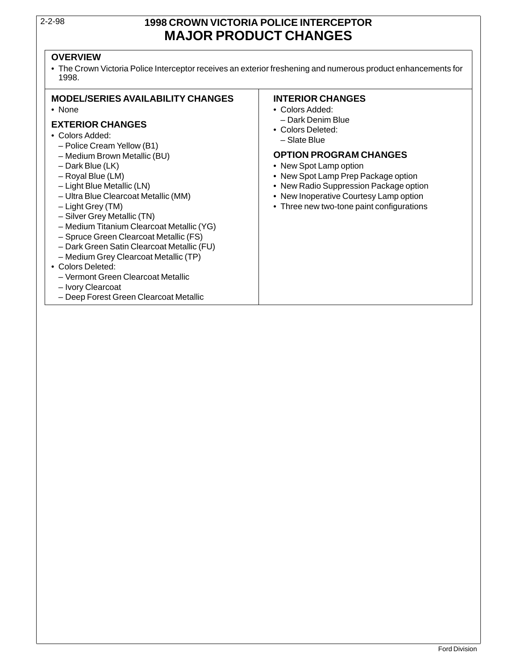### 2-2-98 **1998 CROWN VICTORIA POLICE INTERCEPTOR MAJOR PRODUCT CHANGES**

### **OVERVIEW**

• The Crown Victoria Police Interceptor receives an exterior freshening and numerous product enhancements for 1998.

### **MODEL/SERIES AVAILABILITY CHANGES INTERIOR CHANGES**

- 
- Dark Denim Blue **EXTERIOR CHANGES** Colors Deleted: Colors Added: Slate Blue Police Cream Yellow (B1)
	-
	-
	-
	-
	-
	-
- Silver Grey Metallic (TN)
- Medium Titanium Clearcoat Metallic (YG)
- Spruce Green Clearcoat Metallic (FS)
- Dark Green Satin Clearcoat Metallic (FU)
- Medium Grey Clearcoat Metallic (TP)
- Colors Deleted:
	- Vermont Green Clearcoat Metallic
	- Ivory Clearcoat
	- Deep Forest Green Clearcoat Metallic

- None Colors Added:
	-
	-

### – Medium Brown Metallic (BU) **OPTION PROGRAM CHANGES**

- Dark Blue (LK) New Spot Lamp option
- Royal Blue (LM) New Spot Lamp Prep Package option
- Light Blue Metallic (LN) New Radio Suppression Package option
- Ultra Blue Clearcoat Metallic (MM) New Inoperative Courtesy Lamp option
- Light Grey (TM) Three new two-tone paint configurations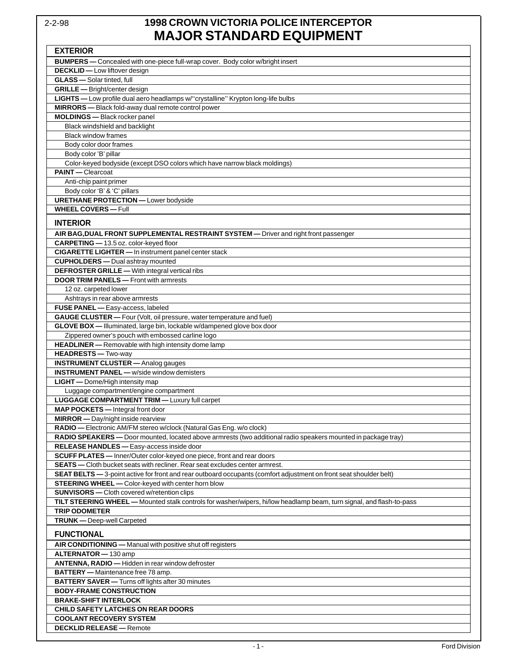### 2-2-98 **1998 CROWN VICTORIA POLICE INTERCEPTOR MAJOR STANDARD EQUIPMENT**

| <b>EXTERIOR</b>                                                                                                      |
|----------------------------------------------------------------------------------------------------------------------|
| <b>BUMPERS</b> — Concealed with one-piece full-wrap cover. Body color w/bright insert                                |
| <b>DECKLID</b> - Low liftover design                                                                                 |
| <b>GLASS</b> - Solar tinted, full                                                                                    |
| <b>GRILLE</b> - Bright/center design                                                                                 |
| LIGHTS - Low profile dual aero headlamps w/"crystalline" Krypton long-life bulbs                                     |
| MIRRORS - Black fold-away dual remote control power                                                                  |
| <b>MOLDINGS</b> - Black rocker panel                                                                                 |
| Black windshield and backlight                                                                                       |
| <b>Black window frames</b>                                                                                           |
| Body color door frames                                                                                               |
| Body color 'B' pillar                                                                                                |
| Color-keyed bodyside (except DSO colors which have narrow black moldings)                                            |
| PAINT - Clearcoat                                                                                                    |
| Anti-chip paint primer                                                                                               |
| Body color 'B' & 'C' pillars                                                                                         |
| <b>URETHANE PROTECTION</b> - Lower bodyside                                                                          |
| <b>WHEEL COVERS - Full</b>                                                                                           |
| <b>INTERIOR</b>                                                                                                      |
| AIR BAG, DUAL FRONT SUPPLEMENTAL RESTRAINT SYSTEM — Driver and right front passenger                                 |
| CARPETING - 13.5 oz. color-keyed floor                                                                               |
| <b>CIGARETTE LIGHTER</b> - In instrument panel center stack                                                          |
| <b>CUPHOLDERS</b> - Dual ashtray mounted                                                                             |
| <b>DEFROSTER GRILLE</b> - With integral vertical ribs                                                                |
| <b>DOOR TRIM PANELS</b> - Front with armrests                                                                        |
| 12 oz. carpeted lower                                                                                                |
| Ashtrays in rear above armrests                                                                                      |
| FUSE PANEL - Easy-access, labeled                                                                                    |
| GAUGE CLUSTER - Four (Volt, oil pressure, water temperature and fuel)                                                |
| GLOVE BOX - Illuminated, large bin, lockable w/dampened glove box door                                               |
| Zippered owner's pouch with embossed carline logo                                                                    |
| HEADLINER - Removable with high intensity dome lamp                                                                  |
| <b>HEADRESTS</b> - Two-way                                                                                           |
| <b>INSTRUMENT CLUSTER</b> - Analog gauges                                                                            |
| <b>INSTRUMENT PANEL - w/side window demisters</b>                                                                    |
| <b>LIGHT</b> - Dome/High intensity map                                                                               |
| Luggage compartment/engine compartment                                                                               |
| <b>LUGGAGE COMPARTMENT TRIM - Luxury full carpet</b>                                                                 |
| MAP POCKETS - Integral front door                                                                                    |
| <b>MIRROR</b> - Day/night inside rearview                                                                            |
| RADIO - Electronic AM/FM stereo w/clock (Natural Gas Eng. w/o clock)                                                 |
| RADIO SPEAKERS - Door mounted, located above armrests (two additional radio speakers mounted in package tray)        |
| RELEASE HANDLES - Easy-access inside door                                                                            |
| SCUFF PLATES - Inner/Outer color-keyed one piece, front and rear doors                                               |
| <b>SEATS</b> — Cloth bucket seats with recliner. Rear seat excludes center armrest.                                  |
| SEAT BELTS - 3-point active for front and rear outboard occupants (comfort adjustment on front seat shoulder belt)   |
| STEERING WHEEL - Color-keyed with center horn blow                                                                   |
| <b>SUNVISORS</b> - Cloth covered w/retention clips                                                                   |
| TILT STEERING WHEEL - Mounted stalk controls for washer/wipers, hi/low headlamp beam, turn signal, and flash-to-pass |
| <b>TRIP ODOMETER</b>                                                                                                 |
| <b>TRUNK</b> - Deep-well Carpeted                                                                                    |
| <b>FUNCTIONAL</b>                                                                                                    |
| AIR CONDITIONING - Manual with positive shut off registers                                                           |
| ALTERNATOR - 130 amp                                                                                                 |
| ANTENNA, RADIO - Hidden in rear window defroster                                                                     |
| <b>BATTERY</b> - Maintenance free 78 amp.                                                                            |
| <b>BATTERY SAVER</b> - Turns off lights after 30 minutes                                                             |
| <b>BODY-FRAME CONSTRUCTION</b>                                                                                       |
| <b>BRAKE-SHIFT INTERLOCK</b>                                                                                         |
| <b>CHILD SAFETY LATCHES ON REAR DOORS</b>                                                                            |
| <b>COOLANT RECOVERY SYSTEM</b>                                                                                       |
| <b>DECKLID RELEASE - Remote</b>                                                                                      |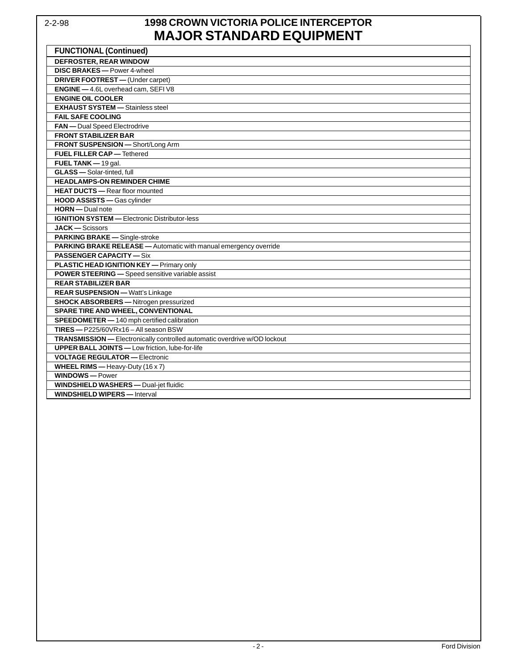## 2-2-98 **1998 CROWN VICTORIA POLICE INTERCEPTOR MAJOR STANDARD EQUIPMENT**

| <b>FUNCTIONAL (Continued)</b>                                             |
|---------------------------------------------------------------------------|
| <b>DEFROSTER, REAR WINDOW</b>                                             |
| <b>DISC BRAKES</b> - Power 4-wheel                                        |
| <b>DRIVER FOOTREST</b> - (Under carpet)                                   |
| ENGINE - 4.6L overhead cam, SEFIV8                                        |
| <b>ENGINE OIL COOLER</b>                                                  |
| <b>EXHAUST SYSTEM - Stainless steel</b>                                   |
| <b>FAIL SAFE COOLING</b>                                                  |
| FAN - Dual Speed Electrodrive                                             |
| <b>FRONT STABILIZER BAR</b>                                               |
| FRONT SUSPENSION - Short/Long Arm                                         |
| <b>FUEL FILLER CAP - Tethered</b>                                         |
| FUEL TANK - 19 gal.                                                       |
| GLASS - Solar-tinted, full                                                |
| <b>HEADLAMPS-ON REMINDER CHIME</b>                                        |
| <b>HEAT DUCTS</b> - Rear floor mounted                                    |
| <b>HOOD ASSISTS</b> - Gas cylinder                                        |
| <b>HORN</b> - Dual note                                                   |
| <b>IGNITION SYSTEM - Electronic Distributor-less</b>                      |
| <b>JACK</b> - Scissors                                                    |
| PARKING BRAKE - Single-stroke                                             |
| PARKING BRAKE RELEASE - Automatic with manual emergency override          |
| <b>PASSENGER CAPACITY - Six</b>                                           |
| <b>PLASTIC HEAD IGNITION KEY — Primary only</b>                           |
| POWER STEERING - Speed sensitive variable assist                          |
| <b>REAR STABILIZER BAR</b>                                                |
| <b>REAR SUSPENSION - Watt's Linkage</b>                                   |
| <b>SHOCK ABSORBERS</b> - Nitrogen pressurized                             |
| <b>SPARE TIRE AND WHEEL, CONVENTIONAL</b>                                 |
| SPEEDOMETER - 140 mph certified calibration                               |
| TIRES-P225/60VRx16-All season BSW                                         |
| TRANSMISSION - Electronically controlled automatic overdrive w/OD lockout |
| <b>UPPER BALL JOINTS</b> - Low friction, lube-for-life                    |
| <b>VOLTAGE REGULATOR — Electronic</b>                                     |
| <b>WHEEL RIMS</b> - Heavy-Duty $(16 \times 7)$                            |
| <b>WINDOWS</b> - Power                                                    |
| <b>WINDSHIELD WASHERS</b> - Dual-jet fluidic                              |
| <b>WINDSHIELD WIPERS</b> - Interval                                       |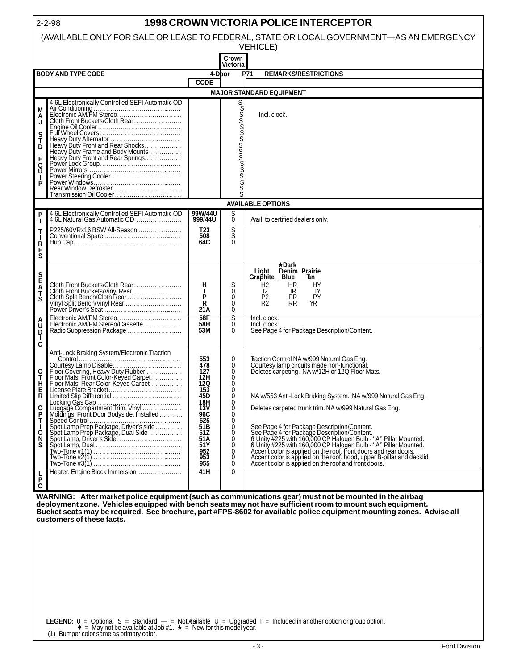| <b>1998 CROWN VICTORIA POLICE INTERCEPTOR</b><br>$2 - 2 - 98$                           |                                                                                                                              |                    |                               |                                                                                                                                                                                                                                            |  |  |  |  |
|-----------------------------------------------------------------------------------------|------------------------------------------------------------------------------------------------------------------------------|--------------------|-------------------------------|--------------------------------------------------------------------------------------------------------------------------------------------------------------------------------------------------------------------------------------------|--|--|--|--|
| (AVAILABLE ONLY FOR SALE OR LEASE TO FEDERAL, STATE OR LOCAL GOVERNMENT-AS AN EMERGENCY |                                                                                                                              |                    |                               |                                                                                                                                                                                                                                            |  |  |  |  |
| <b>VEHICLE)</b>                                                                         |                                                                                                                              |                    |                               |                                                                                                                                                                                                                                            |  |  |  |  |
| Crown                                                                                   |                                                                                                                              |                    |                               |                                                                                                                                                                                                                                            |  |  |  |  |
|                                                                                         | <b>BODY AND TYPE CODE</b>                                                                                                    | 4-Dbor             | Victoria                      | P71<br><b>REMARKS/RESTRICTIONS</b>                                                                                                                                                                                                         |  |  |  |  |
|                                                                                         |                                                                                                                              | <b>CODE</b>        |                               |                                                                                                                                                                                                                                            |  |  |  |  |
|                                                                                         |                                                                                                                              |                    |                               | <b>MAJOR STANDARD EQUIPMENT</b>                                                                                                                                                                                                            |  |  |  |  |
|                                                                                         | 4.6L Electronically Controlled SEFI Automatic OD                                                                             |                    |                               |                                                                                                                                                                                                                                            |  |  |  |  |
| M<br>A                                                                                  |                                                                                                                              |                    | ოთოთოთოთითოთოთ                | Incl. clock.                                                                                                                                                                                                                               |  |  |  |  |
| J                                                                                       |                                                                                                                              |                    |                               |                                                                                                                                                                                                                                            |  |  |  |  |
| s<br>T                                                                                  |                                                                                                                              |                    |                               |                                                                                                                                                                                                                                            |  |  |  |  |
| D                                                                                       |                                                                                                                              |                    |                               |                                                                                                                                                                                                                                            |  |  |  |  |
|                                                                                         |                                                                                                                              |                    |                               |                                                                                                                                                                                                                                            |  |  |  |  |
| 5<br>P                                                                                  |                                                                                                                              |                    |                               |                                                                                                                                                                                                                                            |  |  |  |  |
|                                                                                         |                                                                                                                              |                    |                               |                                                                                                                                                                                                                                            |  |  |  |  |
| Р                                                                                       |                                                                                                                              |                    |                               |                                                                                                                                                                                                                                            |  |  |  |  |
|                                                                                         |                                                                                                                              |                    |                               |                                                                                                                                                                                                                                            |  |  |  |  |
|                                                                                         |                                                                                                                              |                    |                               | <b>AVAILABLE OPTIONS</b>                                                                                                                                                                                                                   |  |  |  |  |
| P<br>Т                                                                                  | 4.6L Electronically Controlled SEFI Automatic OD<br>4.6L Natural Gas Automatic OD                                            | 99W/44U<br>999/44U | $\frac{S}{0}$                 | Aail. to certified dealers only.                                                                                                                                                                                                           |  |  |  |  |
| T                                                                                       | P225/60VRx16 BSW All-Season                                                                                                  | T23                |                               |                                                                                                                                                                                                                                            |  |  |  |  |
|                                                                                         |                                                                                                                              | 508<br>64C         | s<br>S                        |                                                                                                                                                                                                                                            |  |  |  |  |
| <b>R</b><br>S                                                                           |                                                                                                                              |                    |                               |                                                                                                                                                                                                                                            |  |  |  |  |
|                                                                                         |                                                                                                                              |                    |                               |                                                                                                                                                                                                                                            |  |  |  |  |
|                                                                                         |                                                                                                                              |                    |                               | ★Dark<br>Denim Prairie<br>Light                                                                                                                                                                                                            |  |  |  |  |
|                                                                                         |                                                                                                                              |                    |                               | Graphite Blue<br>Tan<br>H <sub>2</sub><br><b>HR</b><br>HY                                                                                                                                                                                  |  |  |  |  |
| S<br>E<br>A<br>T                                                                        |                                                                                                                              | н<br>$\mathbf{I}$  | $\frac{S}{0}$                 | 12<br>IR<br>IY                                                                                                                                                                                                                             |  |  |  |  |
| S                                                                                       |                                                                                                                              | P<br>R             | 0<br>0                        | P <sub>2</sub><br>R <sub>2</sub><br><b>PY</b><br>ΡR<br><b>RR</b><br>ΥR                                                                                                                                                                     |  |  |  |  |
|                                                                                         |                                                                                                                              | 21 A               | $\mathbf 0$                   |                                                                                                                                                                                                                                            |  |  |  |  |
| ô                                                                                       | Electronic AM/FM Stereo                                                                                                      | 58F<br>58H         | $\overline{s}$<br>$\mathbf 0$ | Incl. clock.<br>Incl. clock.                                                                                                                                                                                                               |  |  |  |  |
| D                                                                                       |                                                                                                                              | 53M                | $\Omega$                      | See Page 4 for Package Description/Content.                                                                                                                                                                                                |  |  |  |  |
| ს<br>ბ                                                                                  |                                                                                                                              |                    |                               |                                                                                                                                                                                                                                            |  |  |  |  |
|                                                                                         | Anti-Lock Braking System/Electronic Traction                                                                                 | 553                | $\mathbf 0$                   |                                                                                                                                                                                                                                            |  |  |  |  |
|                                                                                         |                                                                                                                              | 478                | $\mathbf 0$                   | Taction Control NA w/999 Natural Gas Eng.<br>Courtesy lamp circuits made non-functional.<br>Deletes carpeting. NA w/12H or 12Q Floor Mats.                                                                                                 |  |  |  |  |
| O<br>Т                                                                                  |                                                                                                                              | 127<br>12H         | $\mathbf{0}$<br>$\Omega$      |                                                                                                                                                                                                                                            |  |  |  |  |
| н<br>Е                                                                                  |                                                                                                                              | <b>12Q</b><br>153  | $\Omega$<br>$\Omega$          |                                                                                                                                                                                                                                            |  |  |  |  |
|                                                                                         | Limited Slip Differential                                                                                                    | 45U                | 0                             | NA w/553 Anti-Lock Braking System. NA w/999 Natural Gas Eng.                                                                                                                                                                               |  |  |  |  |
| O                                                                                       | Lucking Gas Cap<br>Luggage Compartment Trim, Vinyl<br>Moldings, Front Door Bodyside, Installed                               | 18H<br>13V         | 0<br>$\mathbf 0$              | Deletes carpeted trunk trim. NA w/999 Natural Gas Eng.                                                                                                                                                                                     |  |  |  |  |
| P<br>T                                                                                  |                                                                                                                              | 96C<br>525         | $\mathbf 0$<br>$\mathbf{0}$   |                                                                                                                                                                                                                                            |  |  |  |  |
|                                                                                         |                                                                                                                              | 51B<br>51Z         | $\mathbf{0}$<br>$\Omega$      |                                                                                                                                                                                                                                            |  |  |  |  |
| О<br>N                                                                                  |                                                                                                                              | 51A                | 0                             |                                                                                                                                                                                                                                            |  |  |  |  |
| S                                                                                       |                                                                                                                              | 51Y<br>952         | $\mathbf 0$<br>$\mathbf 0$    |                                                                                                                                                                                                                                            |  |  |  |  |
|                                                                                         |                                                                                                                              | 953<br>955         | 0<br>$\Omega$                 | See Page 4 for Package Description/Content.<br>See Page 4 for Package Description/Content.<br>& Unity #225 with 160,000 CP Halogen Bulb - "A" Pillar Mounted.<br>& Unity #225 with 160,000 CP Halogen Bulb - "A" Pillar Mounted.<br>Accent |  |  |  |  |
|                                                                                         | Heater, Engine Block Immersion                                                                                               | 41H                | $\Omega$                      |                                                                                                                                                                                                                                            |  |  |  |  |
| $\frac{L}{P}$<br>$\mathbf{o}$                                                           |                                                                                                                              |                    |                               |                                                                                                                                                                                                                                            |  |  |  |  |
|                                                                                         |                                                                                                                              |                    |                               | WARNING: After market police equipment (such as communications gear) must not be mounted in the airbag                                                                                                                                     |  |  |  |  |
|                                                                                         |                                                                                                                              |                    |                               | deployment zone. Vehicles equipped with bench seats may not have sufficient room to mount such equipment.                                                                                                                                  |  |  |  |  |
|                                                                                         |                                                                                                                              |                    |                               | Bucket seats may be required. See brochure, part #FPS-8602 for available police equipment mounting zones. Advise all                                                                                                                       |  |  |  |  |
|                                                                                         | customers of these facts.                                                                                                    |                    |                               |                                                                                                                                                                                                                                            |  |  |  |  |
|                                                                                         |                                                                                                                              |                    |                               |                                                                                                                                                                                                                                            |  |  |  |  |
|                                                                                         |                                                                                                                              |                    |                               |                                                                                                                                                                                                                                            |  |  |  |  |
|                                                                                         |                                                                                                                              |                    |                               |                                                                                                                                                                                                                                            |  |  |  |  |
|                                                                                         |                                                                                                                              |                    |                               |                                                                                                                                                                                                                                            |  |  |  |  |
|                                                                                         |                                                                                                                              |                    |                               |                                                                                                                                                                                                                                            |  |  |  |  |
|                                                                                         |                                                                                                                              |                    |                               |                                                                                                                                                                                                                                            |  |  |  |  |
|                                                                                         |                                                                                                                              |                    |                               |                                                                                                                                                                                                                                            |  |  |  |  |
|                                                                                         |                                                                                                                              |                    |                               |                                                                                                                                                                                                                                            |  |  |  |  |
|                                                                                         | <b>LEGEND:</b> $0 =$ Optional $S =$ Standard $-$ = Not Agilable U = Upgraded L = Included in another option or group option. |                    |                               |                                                                                                                                                                                                                                            |  |  |  |  |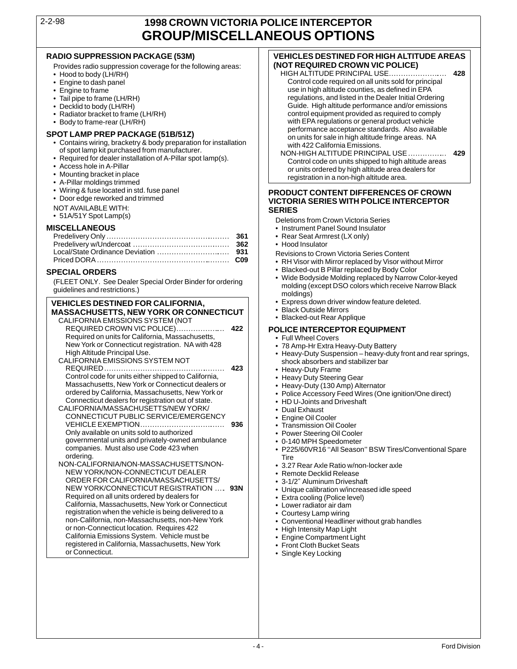### 2-2-98 **1998 CROWN VICTORIA POLICE INTERCEPTOR GROUP/MISCELLANEOUS OPTIONS**

- Provides radio suppression coverage for the following areas: **(NOT REQUIRED CROWN VIC POLICE)**<br>• Hood to body (LH/RH)
- 
- 
- 
- 
- 
- 
- 

- 
- 
- 
- 
- 
- 
- 
- 
- NOT AVAILABLE WITH:<br>• 51A/51Y Spot Lamp(s) **SERIES IN SERIES**

**VEHICLES DESTINED FOR CALIFORNIA,**  $\cdot$  **Fxpress down driver v<br>MASSACHLISETTS, NEW YORK OR CONNECTICUT. Some of the Black Outside Mirrors MASSACHUSETTS, NEW YORK OR CONNECTICUT** | • Black Outside Mirrors<br>CALIFORNIA EMISSIONS SYSTEM (NOT + Blacked-out Rear Applique CALIFORNIA EMISSIONS SYSTEM (NOT REQUIRED CROWN VIC POLICE).................... . **422 POLICE INTERCEPTOR EQUIPMENT** Required on units for California, Massachusetts,<br>
New York or Connecticut registration. NA with 428 **•** 78 Amp-Hr Extra Heavy-Duty Battery New York or Connecticut registration. NA with 428<br>High Altitude Principal Use. High Altitude Principal Use. • Heavy-Duty Suspension – heavy-duty front and rear springs, CALIFORNIA EMISSIONS SYSTEM NOT shock absorbers and stabilizer bar REQUIRED.................................................. . **<sup>423</sup>** • Heavy-Duty Frame Control code for units either shipped to California, • Heavy Duty Steering Gear Massachusetts, New York or Connecticut dealers or<br>
ordered by California, Massachusetts, New York or<br>
Connecticut dealers for registration out of state.<br>
ALIFORNIA/MASSACHUSETTS/NEW YORK/<br>
• Dual Exhaust<br>
• Dual Exhaust CALIFORNIA/MASSACHUSETTS/NEW YORK/ • Dual Exhaust CONNECTICUT PUBLIC SERVICE/EMERGENCY • Engine Oil Cooler VEHICLE EXEMPTION................................... **<sup>936</sup>** • Transmission Oil Cooler Only available on units sold to authorized **•** Power Steering Oil Cooler<br>governmental units and privately-owned ambulance **•** 0-140 MPH Speedometer companies. Must also use Code 423 when **• 0-140 P225/60VR16 "All Season" BSW Tires/Conventional Spare**<br>
Tire ordering. Tire NON-CALIFORNIA/NON-MASSACHUSETTS/NON- • 3.27 Rear Axle Ratio w/non-locker axle NEW YORK/NON-CONNECTICUT DEALER<br>ORDER FOR CALIFORNIA/MASSACHUSETTS/  $\begin{array}{|c|c|c|c|c|}\n\hline\n\text{P.} & \text{Remote Declekid} \\
\hline\n\end{array}$ ORDER FOR CALIFORNIA/MASSACHUSETTS/<br>NEW YORK/CONNECTICUT REGISTRATION .... 93N | video alibration w/increased idle speed NEW YORK/CONNECTICUT REGISTRATION .... 93N • Unique calibration w/increased in Required on all units ordered by dealers for **93N** California, Massachusetts, New York or Connecticut<br>
registration when the vehicle is being delivered to a<br>
Courtesy Lamp wiring

registration when the vehicle is being delivered to a<br>
non-California, non-Massachusetts, non-New York<br>
or non-Connecticut location. Requires 422<br>
California Emissions System. Vehicle must be<br>
registered in California, Mas or Connecticut.<br>
• Single Key Locking<br>
• Single Key Locking

# **RADIO SUPPRESSION PACKAGE (53M) VEHICLES DESTINED FOR HIGH ALTITUDE AREAS**

- Hood to body (LH/RH) HIGH ALTITUDE PRINCIPAL USE........................ **428** • Engine to dash panel (Control code required on all units sold for principal control code required on all units sold for principal experiment of the control code required on all units sold for principal versus sets in hig • Engine to frame use in high altitude counties, as defined in EPA<br>Tail pipe to frame (LH/RH) Tail pipe to frame (LH/RH) and the Dealer Initial Orde Tail pipe to frame (LH/RH) regulations, and listed in the Dealer Initial Ordering<br>Decklid to body (LH/RH) regulations, and listed in the Dealer Initial Ordering • Decklid to body (LH/RH)<br>• Radiator bracket to frame (LH/RH) Call the Control equipment provided as required to comply control equipment provided as required to comply • Body to frame-rear (LH/RH) with EPA regulations or general product vehicle
- SPOT LAMP PREP PACKAGE (51B/51Z)<br>
 Contains wiring, bracketry & body preparation for installation<br>
of spot lamp kit purchased from manufacturer.<br>
 Required for dealer installation of A-Pillar spot lamp(s).<br>
 Access hole

### • Wiring & fuse located in std. fuse panel **PRODUCT CONTENT DIFFERENCES OF CROWN** • Door edge reworked and trimmed **VICTORIA SERIES WITH POLICE INTERCEPTOR**

- 
- 51A/51Y Spot Lamp(s) Deletions from Crown Victoria Series<br>MISCELLANEOUS Instrument Panel Sound Insulator • Instrument Panel Sound Insulator
	- Rear Seat Armrest (LX only)
	- Hood Insulator
	- **Revisions to Crown Victoria Series Content**
	- . RH Visor with Mirror replaced by Visor without Mirror
	-
- **SPECIAL ORDERS** Blacked-out B Pillar replaced by Body Color<br>• Wide Bodyside Molding replaced by Narrow Color-keyed Wide Bodyside Molding replaced by Narrow Color-keyed Francis and restrictions.)<br>
Wide Bodyside Molding replaced by Narrow Color-keyed (FLEET ONLY. See Dealer Special Order Binder for ordering<br>
MEHICLES DESTINED FOR CALIFORNIA Express down driver window feature deleted.
	-
	-
	-

- 
- 
- 
- 
- 
- 
- 
- 
- 
- 
- 
- 
- 
- 
- 
- 
- 
- 
- 
- 
- 
- 
- 
- 
- 
-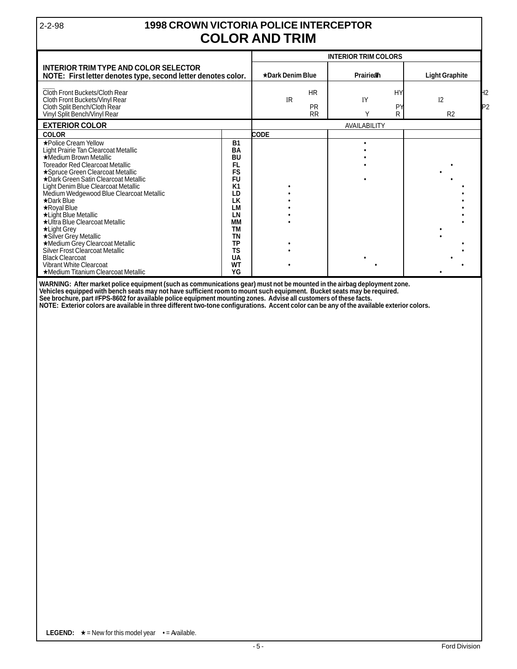### 2-2-98 **1998 CROWN VICTORIA POLICE INTERCEPTOR COLOR AND TRIM**

|                                                                                                                                                                                                                                                                                                                                                                                                                                                     | <b>INTERIOR TRIM COLORS</b>                                                                                                                                               |                                                  |           |              |                                                          |
|-----------------------------------------------------------------------------------------------------------------------------------------------------------------------------------------------------------------------------------------------------------------------------------------------------------------------------------------------------------------------------------------------------------------------------------------------------|---------------------------------------------------------------------------------------------------------------------------------------------------------------------------|--------------------------------------------------|-----------|--------------|----------------------------------------------------------|
| <b>INTERIOR TRIM TYPE AND COLOR SELECTOR</b><br>NOTE: First letter denotes type, second letter denotes color.                                                                                                                                                                                                                                                                                                                                       |                                                                                                                                                                           | <b>★Dark Denim Blue</b>                          | Prairiean |              | <b>Light Graphite</b>                                    |
| Cloth Front Buckets/Cloth Rear<br>Cloth Front Buckets/Vinyl Rear<br>Cloth Split Bench/Cloth Rear<br>Vinyl Split Bench/Vinyl Rear                                                                                                                                                                                                                                                                                                                    |                                                                                                                                                                           | <b>HR</b><br><b>IR</b><br><b>PR</b><br><b>RR</b> | IY<br>Υ   | HY<br>P<br>R | H <sub>2</sub><br>I <sub>2</sub><br>P2<br>R <sub>2</sub> |
| <b>EXTERIOR COLOR</b>                                                                                                                                                                                                                                                                                                                                                                                                                               |                                                                                                                                                                           | <b>AVAILABILITY</b>                              |           |              |                                                          |
| <b>COLOR</b>                                                                                                                                                                                                                                                                                                                                                                                                                                        |                                                                                                                                                                           | CODE                                             |           |              |                                                          |
| ★Police Cream Yellow<br>Light Prairie Tan Clearcoat Metallic<br>★Medium Brown Metallic<br><b>Toreador Red Clearcoat Metallic</b><br>★Spruce Green Clearcoat Metallic<br>★Dark Green Satin Clearcoat Metallic<br>Light Denim Blue Clearcoat Metallic<br>Medium Wedgewood Blue Clearcoat Metallic<br>$\star$ Dark Blue<br>$\star$ Royal Blue<br>*Light Blue Metallic<br>★Ultra Blue Clearcoat Metallic<br>$\star$ Light Grey<br>★Silver Grey Metallic | <b>B1</b><br><b>BA</b><br><b>BU</b><br><b>FL</b><br><b>FS</b><br><b>FU</b><br>K <sub>1</sub><br>LD<br><b>LK</b><br><b>LM</b><br>LN<br><b>MM</b><br><b>TM</b><br><b>TN</b> |                                                  |           |              |                                                          |
| ★Medium Grey Clearcoat Metallic<br>Silver Frost Clearcoat Metallic<br><b>Black Clearcoat</b><br><b>Vibrant White Clearcoat</b><br>★Medium Titanium Clearcoat Metallic                                                                                                                                                                                                                                                                               | <b>TP</b><br><b>TS</b><br>UA<br><b>WT</b><br>YG                                                                                                                           |                                                  |           |              |                                                          |

**WARNING: After market police equipment (such as communications gear) must not be mounted in the airbag deployment zone. Vehicles equipped with bench seats may not have sufficient room to mount such equipment. Bucket seats may be required. See brochure, part #FPS-8602 for available police equipment mounting zones. Advise all customers of these facts.**

**NOTE: Exterior colors are available in three different two-tone configurations. Accent color can be any of the available exterior colors.**